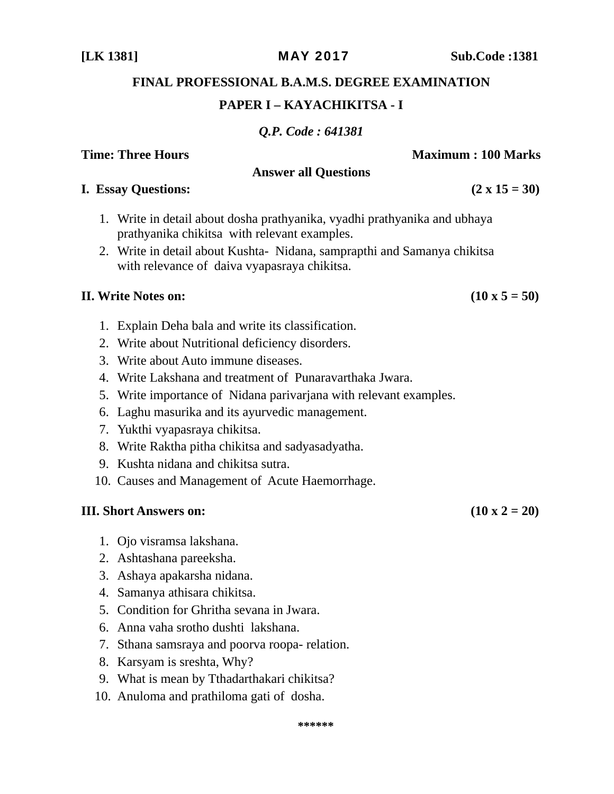*Q.P. Code : 641381* 

**Time: Three Hours**  Maximum : 100 Marks **Answer all Questions** 

- 1. Write in detail about dosha prathyanika, vyadhi prathyanika and ubhaya prathyanika chikitsa with relevant examples.
- 2. Write in detail about Kushta- Nidana, samprapthi and Samanya chikitsa with relevance of daiva vyapasraya chikitsa.

# **II.** Write Notes on:  $(10 \times 5 = 50)$

- 1. Explain Deha bala and write its classification.
- 2. Write about Nutritional deficiency disorders.
- 3. Write about Auto immune diseases.
- 4. Write Lakshana and treatment of Punaravarthaka Jwara.
- 5. Write importance of Nidana parivarjana with relevant examples.
- 6. Laghu masurika and its ayurvedic management.
- 7. Yukthi vyapasraya chikitsa.
- 8. Write Raktha pitha chikitsa and sadyasadyatha.
- 9. Kushta nidana and chikitsa sutra.
- 10. Causes and Management of Acute Haemorrhage.

# **III.** Short Answers on:  $(10 \times 2 = 20)$

- 1. Ojo visramsa lakshana.
- 2. Ashtashana pareeksha.
- 3. Ashaya apakarsha nidana.
- 4. Samanya athisara chikitsa.
- 5. Condition for Ghritha sevana in Jwara.
- 6. Anna vaha srotho dushti lakshana.
- 7. Sthana samsraya and poorva roopa- relation.
- 8. Karsyam is sreshta, Why?
- 9. What is mean by Tthadarthakari chikitsa?
- 10. Anuloma and prathiloma gati of dosha.

**I.** Essay Questions:  $(2 \times 15 = 30)$ 

**[LK 1381]** MAY 2017 **Sub.Code :1381** 

**FINAL PROFESSIONAL B.A.M.S. DEGREE EXAMINATION**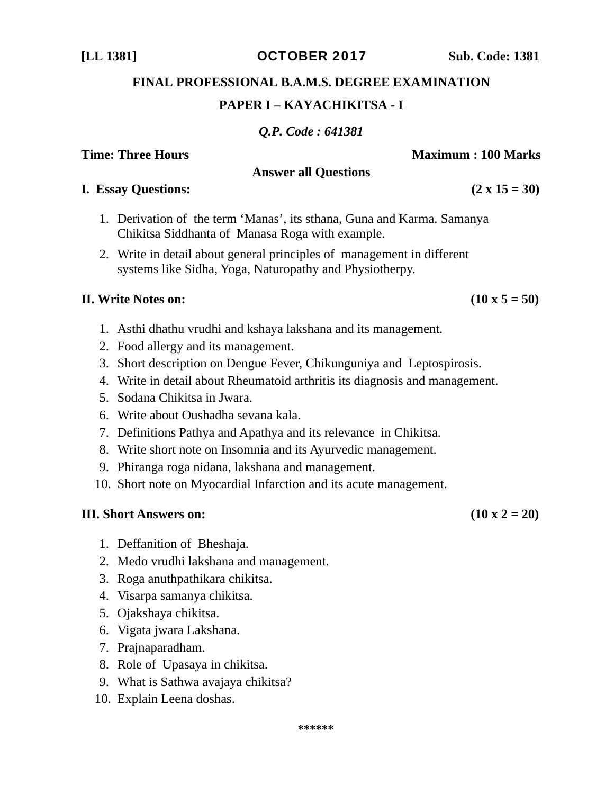#### **[LL 1381]** OCTOBER 2017 **Sub. Code: 1381**

# **FINAL PROFESSIONAL B.A.M.S. DEGREE EXAMINATION**

### **PAPER I – KAYACHIKITSA - I**

*Q.P. Code : 641381* 

### **Time: Three Hours Community Community Community Community Community Community Community Community Community Community Community Community Community Community Community Community Community Community Community Community Com**

#### **Answer all Questions**

#### **I. Essay Questions:**  $(2 \times 15 = 30)$

- 1. Derivation of the term 'Manas', its sthana, Guna and Karma. Samanya Chikitsa Siddhanta of Manasa Roga with example.
- 2. Write in detail about general principles of management in different systems like Sidha, Yoga, Naturopathy and Physiotherpy.

#### **II.** Write Notes on:  $(10 \times 5 = 50)$

- 1. Asthi dhathu vrudhi and kshaya lakshana and its management.
- 2. Food allergy and its management.
- 3. Short description on Dengue Fever, Chikunguniya and Leptospirosis.
- 4. Write in detail about Rheumatoid arthritis its diagnosis and management.
- 5. Sodana Chikitsa in Jwara.
- 6. Write about Oushadha sevana kala.
- 7. Definitions Pathya and Apathya and its relevance in Chikitsa.
- 8. Write short note on Insomnia and its Ayurvedic management.
- 9. Phiranga roga nidana, lakshana and management.
- 10. Short note on Myocardial Infarction and its acute management.

- 1. Deffanition of Bheshaja.
- 2. Medo vrudhi lakshana and management.
- 3. Roga anuthpathikara chikitsa.
- 4. Visarpa samanya chikitsa.
- 5. Ojakshaya chikitsa.
- 6. Vigata jwara Lakshana.
- 7. Prajnaparadham.
- 8. Role of Upasaya in chikitsa.
- 9. What is Sathwa avajaya chikitsa?
- 10. Explain Leena doshas.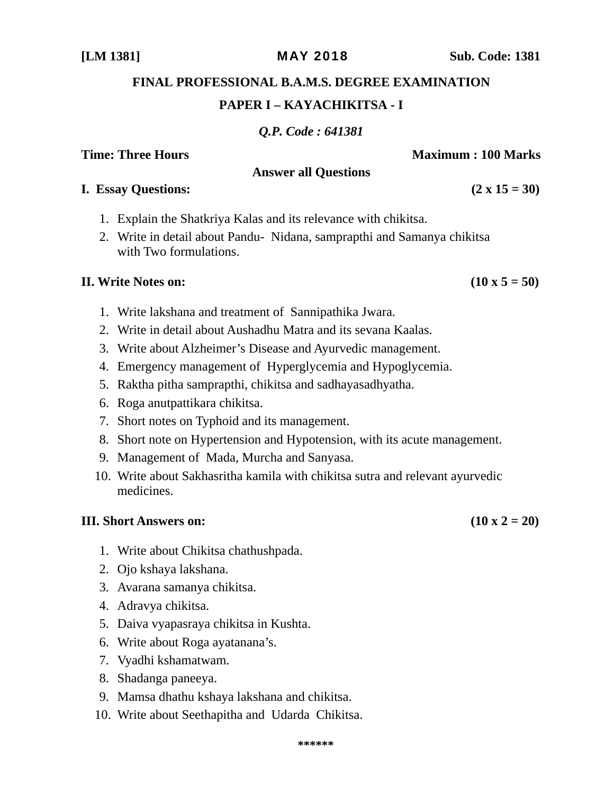- 
- 5. Raktha pitha samprapthi, chikitsa and sadhayasadhyatha.
- 
- 
- 
- 

#### **III.** Short Answers on:  $(10 \times 2 = 20)$

- 1. Write about Chikitsa chathushpada.
- 2. Ojo kshaya lakshana.
- 3. Avarana samanya chikitsa.
- 4. Adravya chikitsa.
- 5. Daiva vyapasraya chikitsa in Kushta.
- 6. Write about Roga ayatanana's.
- 7. Vyadhi kshamatwam.
- 8. Shadanga paneeya.
- 9. Mamsa dhathu kshaya lakshana and chikitsa.
- 10. Write about Seethapitha and Udarda Chikitsa.

## **FINAL PROFESSIONAL B.A.M.S. DEGREE EXAMINATION PAPER I – KAYACHIKITSA - I**

*Q.P. Code : 641381* 

**Answer all Questions** 

- **I. Essay Questions:**  $(2 \times 15 = 30)$ 
	- 1. Explain the Shatkriya Kalas and its relevance with chikitsa.
	- 2. Write in detail about Pandu- Nidana, samprapthi and Samanya chikitsa with Two formulations.

#### **II.** Write Notes on:  $(10 \times 5 = 50)$

- 1. Write lakshana and treatment of Sannipathika Jwara.
- 2. Write in detail about Aushadhu Matra and its sevana Kaalas.
- 3. Write about Alzheimer's Disease and Ayurvedic management.
- 4. Emergency management of Hyperglycemia and Hypoglycemia.
- 
- 6. Roga anutpattikara chikitsa.
- 7. Short notes on Typhoid and its management.
- 8. Short note on Hypertension and Hypotension, with its acute management.
- 9. Management of Mada, Murcha and Sanyasa.
- 10. Write about Sakhasritha kamila with chikitsa sutra and relevant ayurvedic medicines.

**Time: Three Hours Community Community Community Community Community Community Community Community Community Community Community Community Community Community Community Community Community Community Community Community Com**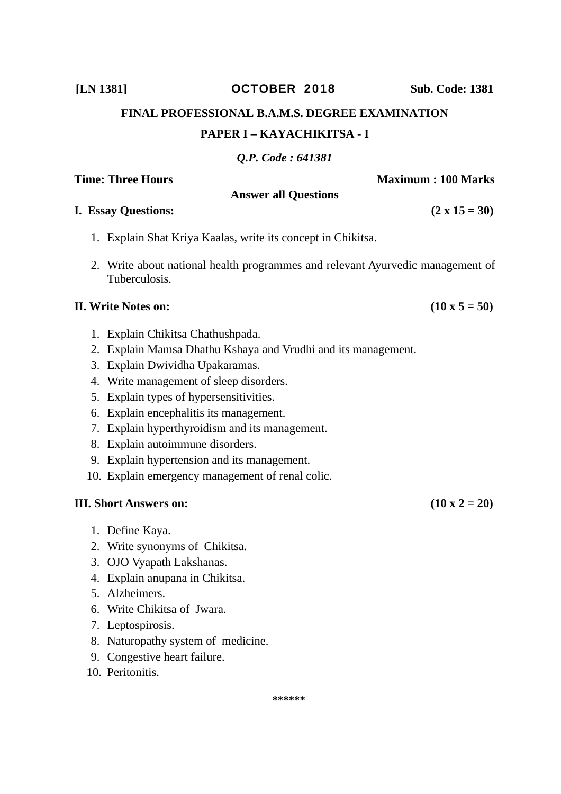#### **\*\*\*\*\*\***

# 1. Explain Shat Kriya Kaalas, write its concept in Chikitsa.

**Answer all Questions** 

2. Write about national health programmes and relevant Ayurvedic management of Tuberculosis.

#### **II.** Write Notes on:  $(10 \times 5 = 50)$

- 1. Explain Chikitsa Chathushpada.
- 2. Explain Mamsa Dhathu Kshaya and Vrudhi and its management.
- 3. Explain Dwividha Upakaramas.
- 4. Write management of sleep disorders.
- 5. Explain types of hypersensitivities.
- 6. Explain encephalitis its management.
- 7. Explain hyperthyroidism and its management.
- 8. Explain autoimmune disorders.
- 9. Explain hypertension and its management.
- 10. Explain emergency management of renal colic.

### **III.** Short Answers on:  $(10 \times 2 = 20)$

- 1. Define Kaya.
- 2. Write synonyms of Chikitsa.
- 3. OJO Vyapath Lakshanas.
- 4. Explain anupana in Chikitsa.
- 5. Alzheimers.
- 6. Write Chikitsa of Jwara.
- 7. Leptospirosis.
- 8. Naturopathy system of medicine.
- 9. Congestive heart failure.
- 10. Peritonitis.

**Time: Three Hours 100 Maximum : 100 Marks** 

**FINAL PROFESSIONAL B.A.M.S. DEGREE EXAMINATION** 

**PAPER I – KAYACHIKITSA - I** 

*Q.P. Code : 641381* 

### **[LN 1381]** OCTOBER 2018 **Sub. Code: 1381**

**I.** Essay Questions:  $(2 \times 15 = 30)$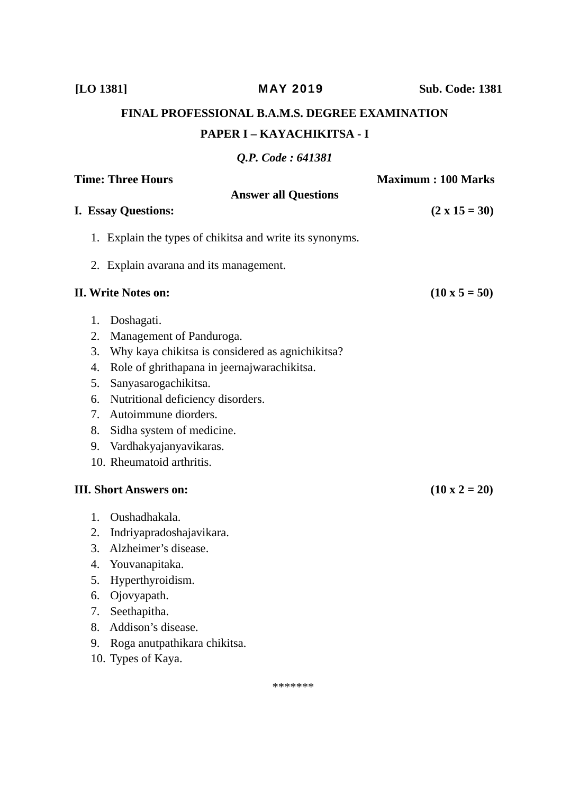**FINAL PROFESSIONAL B.A.M.S. DEGREE EXAMINATION PAPER I – KAYACHIKITSA - I** 

## *Q.P. Code : 641381*

|    | <b>Time: Three Hours</b>                                 | <b>Maximum: 100 Marks</b> |
|----|----------------------------------------------------------|---------------------------|
|    | <b>Answer all Questions</b>                              |                           |
|    | <b>I. Essay Questions:</b>                               | $(2 \times 15 = 30)$      |
|    | 1. Explain the types of chikitsa and write its synonyms. |                           |
|    | 2. Explain avarana and its management.                   |                           |
|    | <b>II. Write Notes on:</b>                               | $(10 \times 5 = 50)$      |
| 1. | Doshagati.                                               |                           |
| 2. | Management of Panduroga.                                 |                           |
| 3. | Why kaya chikitsa is considered as agnichikitsa?         |                           |
| 4. | Role of ghrithapana in jeernajwarachikitsa.              |                           |
| 5. | Sanyasarogachikitsa.                                     |                           |
| 6. | Nutritional deficiency disorders.                        |                           |
| 7. | Autoimmune diorders.                                     |                           |
| 8. | Sidha system of medicine.                                |                           |
| 9. | Vardhakyajanyavikaras.                                   |                           |
|    | 10. Rheumatoid arthritis.                                |                           |
|    | <b>III. Short Answers on:</b>                            | $(10 \times 2 = 20)$      |
| 1. | Oushadhakala.                                            |                           |
| 2. | Indriyapradoshajavikara.                                 |                           |
| 3. | Alzheimer's disease.                                     |                           |
| 4. | Youvanapitaka.                                           |                           |
| 5. | Hyperthyroidism.                                         |                           |
| 6. | Ojovyapath.                                              |                           |
| 7. | Seethapitha.                                             |                           |
| 8. | Addison's disease.                                       |                           |

- 9. Roga anutpathikara chikitsa.
- 10. Types of Kaya.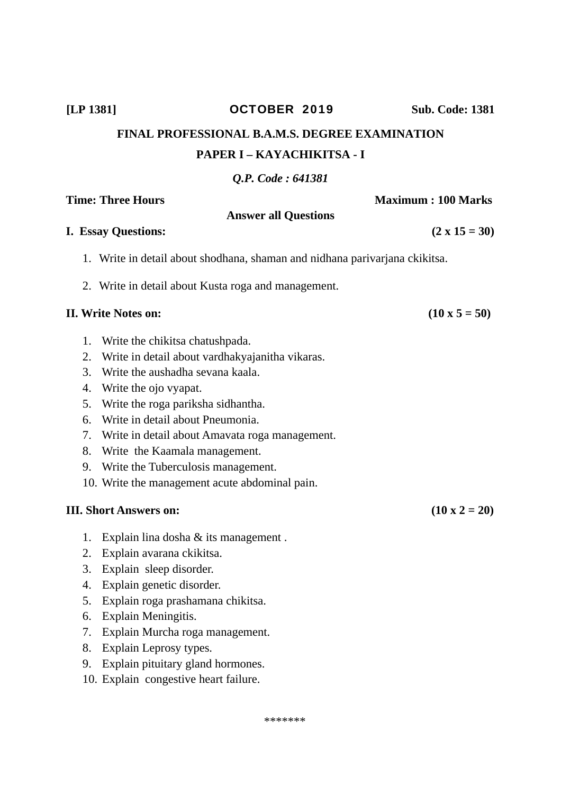#### \*\*\*\*\*\*\*

# *Q.P. Code : 641381*  **Time: Three Hours Maximum : 100 Marks**

**FINAL PROFESSIONAL B.A.M.S. DEGREE EXAMINATION** 

**PAPER I – KAYACHIKITSA - I** 

# **Answer all Questions I. Essay Questions: (2 x 15 = 30)**  1. Write in detail about shodhana, shaman and nidhana parivarjana ckikitsa. 2. Write in detail about Kusta roga and management. **II.** Write Notes on:  $(10 \times 5 = 50)$ 1. Write the chikitsa chatushpada.

- 
- 2. Write in detail about vardhakyajanitha vikaras.
- 3. Write the aushadha sevana kaala.
- 4. Write the ojo vyapat.
- 5. Write the roga pariksha sidhantha.
- 6. Write in detail about Pneumonia.
- 7. Write in detail about Amavata roga management.
- 8. Write the Kaamala management.
- 9. Write the Tuberculosis management.
- 10. Write the management acute abdominal pain.

- 1. Explain lina dosha & its management .
- 2. Explain avarana ckikitsa.
- 3. Explain sleep disorder.
- 4. Explain genetic disorder.
- 5. Explain roga prashamana chikitsa.
- 6. Explain Meningitis.
- 7. Explain Murcha roga management.
- 8. Explain Leprosy types.
- 9. Explain pituitary gland hormones.
- 10. Explain congestive heart failure.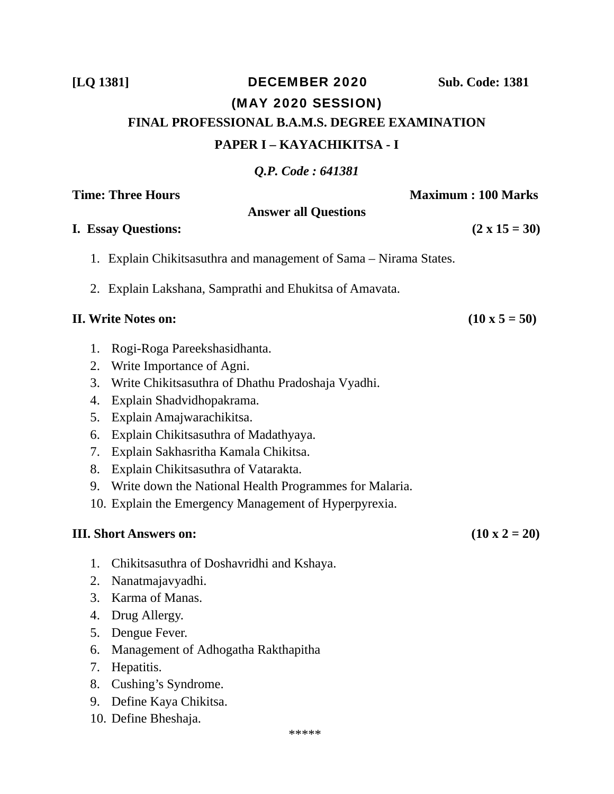# **[LQ 1381]** DECEMBER 2020 **Sub. Code: 1381** (MAY 2020 SESSION) **FINAL PROFESSIONAL B.A.M.S. DEGREE EXAMINATION PAPER I – KAYACHIKITSA - I**

*Q.P. Code : 641381* 

**Answer all Questions** 

**Time: Three Hours**  Maximum : 100 Marks **Maximum : 100 Marks Maximum : 100 Marks** 

#### **I. Essay Questions:**  $(2 \times 15 = 30)$

- 1. Explain Chikitsasuthra and management of Sama Nirama States.
- 2. Explain Lakshana, Samprathi and Ehukitsa of Amavata.

#### **II.** Write Notes on:  $(10 \times 5 = 50)$

- 1. Rogi-Roga Pareekshasidhanta.
- 2. Write Importance of Agni.
- 3. Write Chikitsasuthra of Dhathu Pradoshaja Vyadhi.
- 4. Explain Shadvidhopakrama.
- 5. Explain Amajwarachikitsa.
- 6. Explain Chikitsasuthra of Madathyaya.
- 7. Explain Sakhasritha Kamala Chikitsa.
- 8. Explain Chikitsasuthra of Vatarakta.
- 9. Write down the National Health Programmes for Malaria.
- 10. Explain the Emergency Management of Hyperpyrexia.

- 1. Chikitsasuthra of Doshavridhi and Kshaya.
- 2. Nanatmajavyadhi.
- 3. Karma of Manas.
- 4. Drug Allergy.
- 5. Dengue Fever.
- 6. Management of Adhogatha Rakthapitha
- 7. Hepatitis.
- 8. Cushing's Syndrome.
- 9. Define Kaya Chikitsa.
- 10. Define Bheshaja.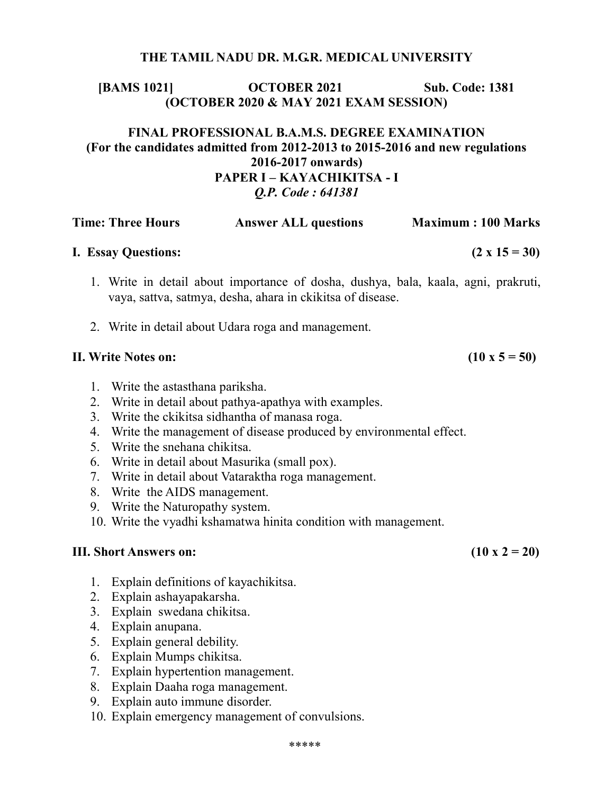#### THE TAMIL NADU DR. M.G.R. MEDICAL UNIVERSITY

### [BAMS 1021] **OCTOBER 2021** Sub. Code: 1381 (OCTOBER 2020 & MAY 2021 EXAM SESSION)

### FINAL PROFESSIONAL B.A.M.S. DEGREE EXAMINATION (For the candidates admitted from 2012-2013 to 2015-2016 and new regulations 2016-2017 onwards) PAPER I – KAYACHIKITSA - I Q.P. Code : 641381

| <b>Time: Three Hours</b>   | <b>Answer ALL questions</b> | <b>Maximum: 100 Marks</b> |
|----------------------------|-----------------------------|---------------------------|
| <b>I. Essay Questions:</b> |                             | $(2 \times 15 = 30)$      |

- 1. Write in detail about importance of dosha, dushya, bala, kaala, agni, prakruti, vaya, sattva, satmya, desha, ahara in ckikitsa of disease.
- 2. Write in detail about Udara roga and management.

#### II. Write Notes on:  $(10 \times 5 = 50)$

- 1. Write the astasthana pariksha.
- 2. Write in detail about pathya-apathya with examples.
- 3. Write the ckikitsa sidhantha of manasa roga.
- 4. Write the management of disease produced by environmental effect.
- 5. Write the snehana chikitsa.
- 6. Write in detail about Masurika (small pox).
- 7. Write in detail about Vataraktha roga management.
- 8. Write the AIDS management.
- 9. Write the Naturopathy system.
- 10. Write the vyadhi kshamatwa hinita condition with management.

- 1. Explain definitions of kayachikitsa.
- 2. Explain ashayapakarsha.
- 3. Explain swedana chikitsa.
- 4. Explain anupana.
- 5. Explain general debility.
- 6. Explain Mumps chikitsa.
- 7. Explain hypertention management.
- 8. Explain Daaha roga management.
- 9. Explain auto immune disorder.
- 10. Explain emergency management of convulsions.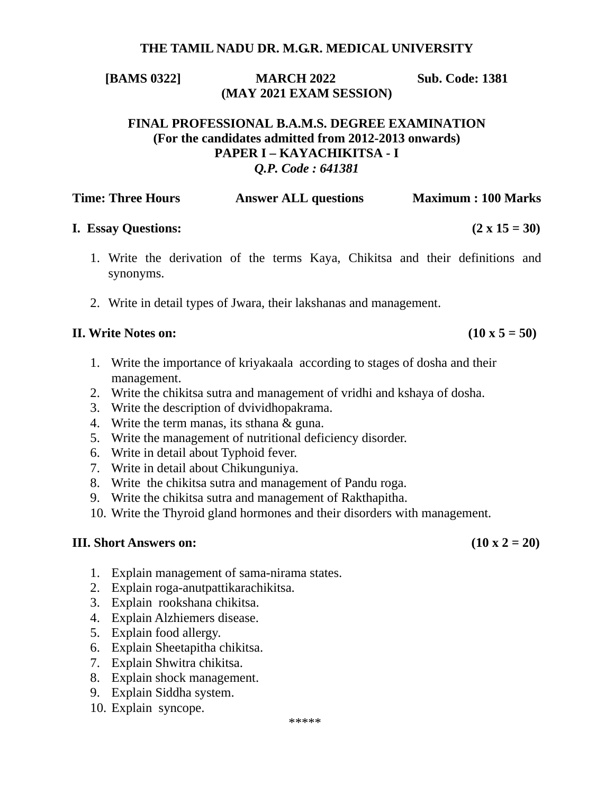#### **THE TAMIL NADU DR. M.G.R. MEDICAL UNIVERSITY**

**[BAMS 0322] MARCH 2022 Sub. Code: 1381 (MAY 2021 EXAM SESSION)** 

#### **FINAL PROFESSIONAL B.A.M.S. DEGREE EXAMINATION (For the candidates admitted from 2012-2013 onwards) PAPER I – KAYACHIKITSA - I**  *Q.P. Code : 641381*

| <b>Time: Three Hours</b> | <b>Answer ALL questions</b> | <b>Maximum: 100 Marks</b> |
|--------------------------|-----------------------------|---------------------------|
|                          |                             |                           |

#### **I.** Essay Questions:  $(2 \times 15 = 30)$

- 1. Write the derivation of the terms Kaya, Chikitsa and their definitions and synonyms.
- 2. Write in detail types of Jwara, their lakshanas and management.

#### **II.** Write Notes on:  $(10 \times 5 = 50)$

- 1. Write the importance of kriyakaala according to stages of dosha and their management.
- 2. Write the chikitsa sutra and management of vridhi and kshaya of dosha.
- 3. Write the description of dvividhopakrama.
- 4. Write the term manas, its sthana & guna.
- 5. Write the management of nutritional deficiency disorder.
- 6. Write in detail about Typhoid fever.
- 7. Write in detail about Chikunguniya.
- 8. Write the chikitsa sutra and management of Pandu roga.
- 9. Write the chikitsa sutra and management of Rakthapitha.
- 10. Write the Thyroid gland hormones and their disorders with management.

- 1. Explain management of sama-nirama states.
- 2. Explain roga-anutpattikarachikitsa.
- 3. Explain rookshana chikitsa.
- 4. Explain Alzhiemers disease.
- 5. Explain food allergy.
- 6. Explain Sheetapitha chikitsa.
- 7. Explain Shwitra chikitsa.
- 8. Explain shock management.
- 9. Explain Siddha system.
- 10. Explain syncope.